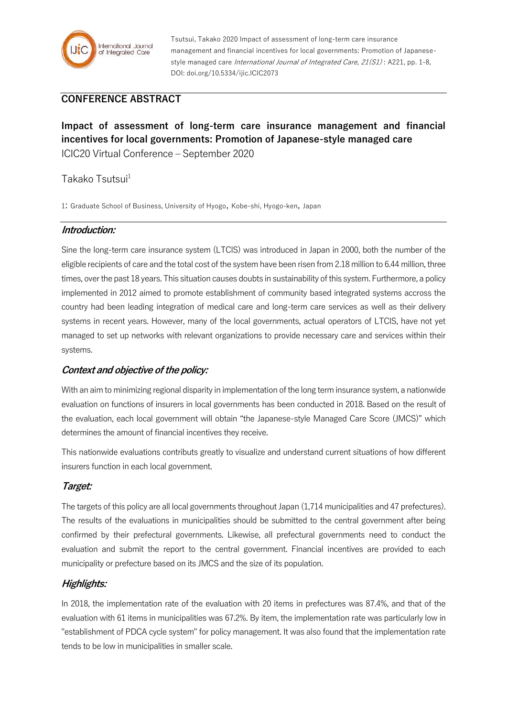

Tsutsui, Takako 2020 Impact of assessment of long-term care insurance management and financial incentives for local governments: Promotion of Japanesestyle managed care *International Journal of Integrated Care, 21(S1)*: A221, pp. 1-8, DOI: doi.org/10.5334/ijic.ICIC2073

# **CONFERENCE ABSTRACT**

**Impact of assessment of long-term care insurance management and financial incentives for local governments: Promotion of Japanese-style managed care** ICIC20 Virtual Conference – September 2020

## Takako Tsutsui<sup>1</sup>

1: Graduate School of Business, University of Hyogo, Kobe-shi, Hyogo-ken, Japan

#### **Introduction:**

Sine the long-term care insurance system (LTCIS) was introduced in Japan in 2000, both the number of the eligible recipients of care and the total cost of the system have been risen from 2.18 million to 6.44 million, three times, over the past 18 years. This situation causes doubts in sustainability of this system. Furthermore, a policy implemented in 2012 aimed to promote establishment of community based integrated systems accross the country had been leading integration of medical care and long-term care services as well as their delivery systems in recent years. However, many of the local governments, actual operators of LTCIS, have not yet managed to set up networks with relevant organizations to provide necessary care and services within their systems.

#### **Context and objective of the policy:**

With an aim to minimizing regional disparity in implementation of the long term insurance system, a nationwide evaluation on functions of insurers in local governments has been conducted in 2018. Based on the result of the evaluation, each local government will obtain "the Japanese-style Managed Care Score (JMCS)" which determines the amount of financial incentives they receive.

This nationwide evaluations contributs greatly to visualize and understand current situations of how different insurers function in each local government.

#### **Target:**

The targets of this policy are all local governments throughout Japan (1,714 municipalities and 47 prefectures). The results of the evaluations in municipalities should be submitted to the central government after being confirmed by their prefectural governments. Likewise, all prefectural governments need to conduct the evaluation and submit the report to the central government. Financial incentives are provided to each municipality or prefecture based on its JMCS and the size of its population.

## **Highlights:**

In 2018, the implementation rate of the evaluation with 20 items in prefectures was 87.4%, and that of the evaluation with 61 items in municipalities was 67.2%. By item, the implementation rate was particularly low in "establishment of PDCA cycle system" for policy management. It was also found that the implementation rate tends to be low in municipalities in smaller scale.